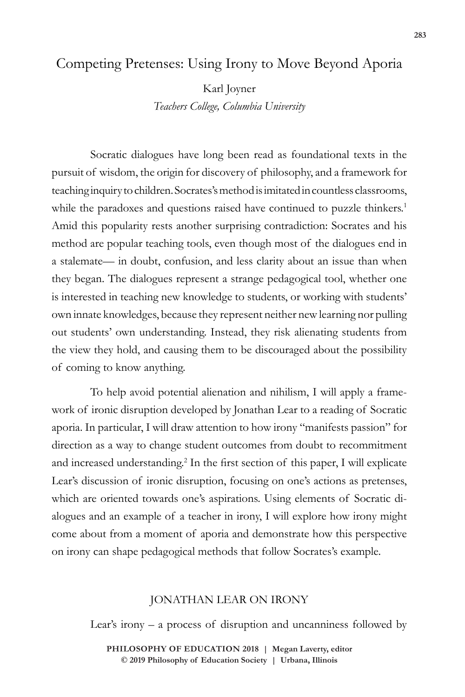# Competing Pretenses: Using Irony to Move Beyond Aporia

Karl Joyner

*Teachers College, Columbia University*

Socratic dialogues have long been read as foundational texts in the pursuit of wisdom, the origin for discovery of philosophy, and a framework for teaching inquiry to children. Socrates's method is imitated in countless classrooms, while the paradoxes and questions raised have continued to puzzle thinkers.<sup>1</sup> Amid this popularity rests another surprising contradiction: Socrates and his method are popular teaching tools, even though most of the dialogues end in a stalemate— in doubt, confusion, and less clarity about an issue than when they began. The dialogues represent a strange pedagogical tool, whether one is interested in teaching new knowledge to students, or working with students' own innate knowledges, because they represent neither new learning nor pulling out students' own understanding. Instead, they risk alienating students from the view they hold, and causing them to be discouraged about the possibility of coming to know anything.

To help avoid potential alienation and nihilism, I will apply a framework of ironic disruption developed by Jonathan Lear to a reading of Socratic aporia. In particular, I will draw attention to how irony "manifests passion" for direction as a way to change student outcomes from doubt to recommitment and increased understanding.<sup>2</sup> In the first section of this paper, I will explicate Lear's discussion of ironic disruption, focusing on one's actions as pretenses, which are oriented towards one's aspirations. Using elements of Socratic dialogues and an example of a teacher in irony, I will explore how irony might come about from a moment of aporia and demonstrate how this perspective on irony can shape pedagogical methods that follow Socrates's example.

#### JONATHAN LEAR ON IRONY

Lear's irony – a process of disruption and uncanniness followed by

**doi: 10.47925/74.283 PHILOSOPHY OF EDUCATION 2018 | Megan Laverty, editor © 2019 Philosophy of Education Society | Urbana, Illinois**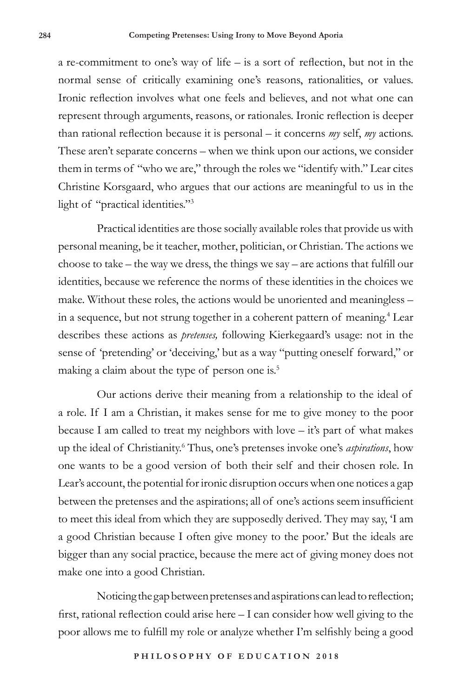a re-commitment to one's way of life – is a sort of reflection, but not in the normal sense of critically examining one's reasons, rationalities, or values. Ironic reflection involves what one feels and believes, and not what one can represent through arguments, reasons, or rationales. Ironic reflection is deeper than rational reflection because it is personal – it concerns *my* self, *my* actions. These aren't separate concerns – when we think upon our actions, we consider them in terms of "who we are," through the roles we "identify with." Lear cites Christine Korsgaard, who argues that our actions are meaningful to us in the light of "practical identities."3

Practical identities are those socially available roles that provide us with personal meaning, be it teacher, mother, politician, or Christian. The actions we choose to take – the way we dress, the things we say – are actions that fulfill our identities, because we reference the norms of these identities in the choices we make. Without these roles, the actions would be unoriented and meaningless – in a sequence, but not strung together in a coherent pattern of meaning.<sup>4</sup> Lear describes these actions as *pretenses,* following Kierkegaard's usage: not in the sense of 'pretending' or 'deceiving,' but as a way "putting oneself forward," or making a claim about the type of person one is.<sup>5</sup>

Our actions derive their meaning from a relationship to the ideal of a role. If I am a Christian, it makes sense for me to give money to the poor because I am called to treat my neighbors with love – it's part of what makes up the ideal of Christianity.<sup>6</sup> Thus, one's pretenses invoke one's *aspirations*, how one wants to be a good version of both their self and their chosen role. In Lear's account, the potential for ironic disruption occurs when one notices a gap between the pretenses and the aspirations; all of one's actions seem insufficient to meet this ideal from which they are supposedly derived. They may say, 'I am a good Christian because I often give money to the poor.' But the ideals are bigger than any social practice, because the mere act of giving money does not make one into a good Christian.

Noticing the gap between pretenses and aspirations can lead to reflection; first, rational reflection could arise here – I can consider how well giving to the poor allows me to fulfill my role or analyze whether I'm selfishly being a good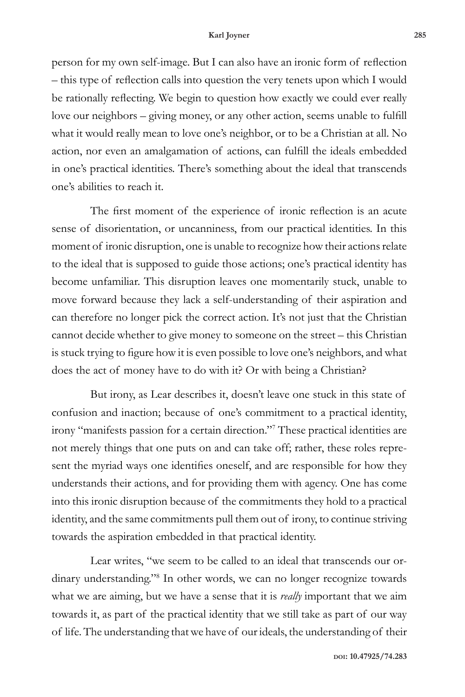person for my own self-image. But I can also have an ironic form of reflection – this type of reflection calls into question the very tenets upon which I would be rationally reflecting. We begin to question how exactly we could ever really love our neighbors – giving money, or any other action, seems unable to fulfill what it would really mean to love one's neighbor, or to be a Christian at all. No action, nor even an amalgamation of actions, can fulfill the ideals embedded in one's practical identities. There's something about the ideal that transcends one's abilities to reach it.

The first moment of the experience of ironic reflection is an acute sense of disorientation, or uncanniness, from our practical identities. In this moment of ironic disruption, one is unable to recognize how their actions relate to the ideal that is supposed to guide those actions; one's practical identity has become unfamiliar. This disruption leaves one momentarily stuck, unable to move forward because they lack a self-understanding of their aspiration and can therefore no longer pick the correct action. It's not just that the Christian cannot decide whether to give money to someone on the street – this Christian is stuck trying to figure how it is even possible to love one's neighbors, and what does the act of money have to do with it? Or with being a Christian?

But irony, as Lear describes it, doesn't leave one stuck in this state of confusion and inaction; because of one's commitment to a practical identity, irony "manifests passion for a certain direction."7 These practical identities are not merely things that one puts on and can take off; rather, these roles represent the myriad ways one identifies oneself, and are responsible for how they understands their actions, and for providing them with agency. One has come into this ironic disruption because of the commitments they hold to a practical identity, and the same commitments pull them out of irony, to continue striving towards the aspiration embedded in that practical identity.

Lear writes, "we seem to be called to an ideal that transcends our ordinary understanding."8 In other words, we can no longer recognize towards what we are aiming, but we have a sense that it is *really* important that we aim towards it, as part of the practical identity that we still take as part of our way of life. The understanding that we have of our ideals, the understanding of their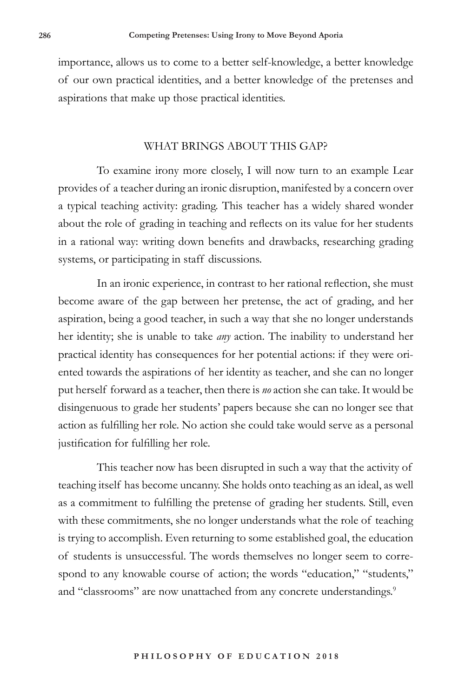importance, allows us to come to a better self-knowledge, a better knowledge of our own practical identities, and a better knowledge of the pretenses and aspirations that make up those practical identities.

#### WHAT BRINGS ABOUT THIS GAP?

To examine irony more closely, I will now turn to an example Lear provides of a teacher during an ironic disruption, manifested by a concern over a typical teaching activity: grading. This teacher has a widely shared wonder about the role of grading in teaching and reflects on its value for her students in a rational way: writing down benefits and drawbacks, researching grading systems, or participating in staff discussions.

In an ironic experience, in contrast to her rational reflection, she must become aware of the gap between her pretense, the act of grading, and her aspiration, being a good teacher, in such a way that she no longer understands her identity; she is unable to take *any* action. The inability to understand her practical identity has consequences for her potential actions: if they were oriented towards the aspirations of her identity as teacher, and she can no longer put herself forward as a teacher, then there is *no* action she can take. It would be disingenuous to grade her students' papers because she can no longer see that action as fulfilling her role. No action she could take would serve as a personal justification for fulfilling her role.

This teacher now has been disrupted in such a way that the activity of teaching itself has become uncanny. She holds onto teaching as an ideal, as well as a commitment to fulfilling the pretense of grading her students. Still, even with these commitments, she no longer understands what the role of teaching is trying to accomplish. Even returning to some established goal, the education of students is unsuccessful. The words themselves no longer seem to correspond to any knowable course of action; the words "education," "students," and "classrooms" are now unattached from any concrete understandings.<sup>9</sup>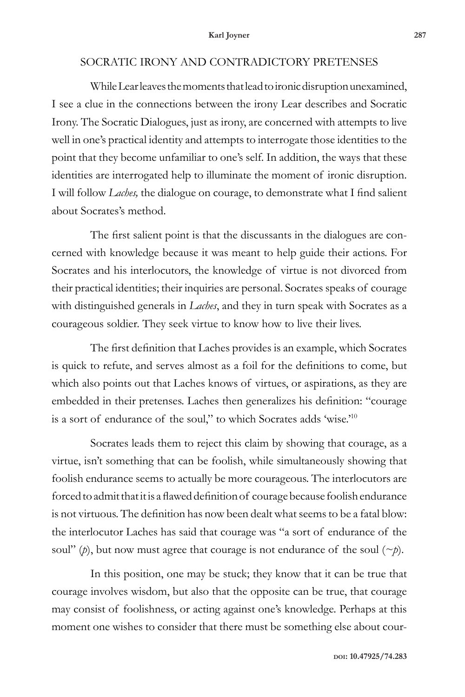### SOCRATIC IRONY AND CONTRADICTORY PRETENSES

While Lear leaves the moments that lead to ironic disruption unexamined, I see a clue in the connections between the irony Lear describes and Socratic Irony. The Socratic Dialogues, just as irony, are concerned with attempts to live well in one's practical identity and attempts to interrogate those identities to the point that they become unfamiliar to one's self. In addition, the ways that these identities are interrogated help to illuminate the moment of ironic disruption. I will follow *Laches,* the dialogue on courage, to demonstrate what I find salient about Socrates's method.

The first salient point is that the discussants in the dialogues are concerned with knowledge because it was meant to help guide their actions. For Socrates and his interlocutors, the knowledge of virtue is not divorced from their practical identities; their inquiries are personal. Socrates speaks of courage with distinguished generals in *Laches*, and they in turn speak with Socrates as a courageous soldier. They seek virtue to know how to live their lives.

The first definition that Laches provides is an example, which Socrates is quick to refute, and serves almost as a foil for the definitions to come, but which also points out that Laches knows of virtues, or aspirations, as they are embedded in their pretenses. Laches then generalizes his definition: "courage is a sort of endurance of the soul," to which Socrates adds 'wise.'10

Socrates leads them to reject this claim by showing that courage, as a virtue, isn't something that can be foolish, while simultaneously showing that foolish endurance seems to actually be more courageous. The interlocutors are forced to admit that it is a flawed definition of courage because foolish endurance is not virtuous. The definition has now been dealt what seems to be a fatal blow: the interlocutor Laches has said that courage was "a sort of endurance of the soul" (*p*), but now must agree that courage is not endurance of the soul  $(\sim p)$ .

In this position, one may be stuck; they know that it can be true that courage involves wisdom, but also that the opposite can be true, that courage may consist of foolishness, or acting against one's knowledge. Perhaps at this moment one wishes to consider that there must be something else about cour-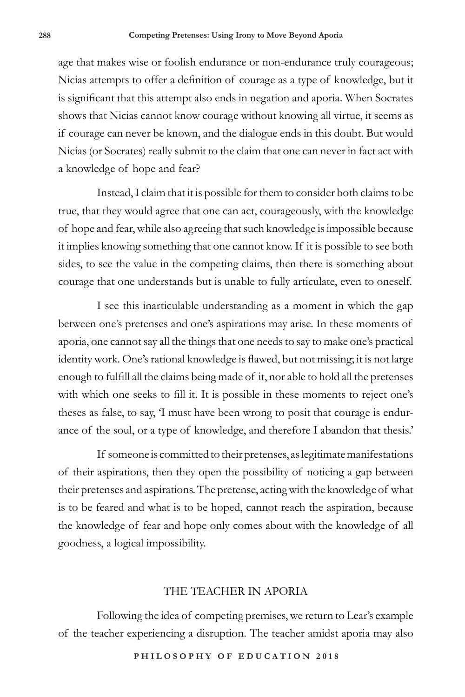age that makes wise or foolish endurance or non-endurance truly courageous; Nicias attempts to offer a definition of courage as a type of knowledge, but it is significant that this attempt also ends in negation and aporia. When Socrates shows that Nicias cannot know courage without knowing all virtue, it seems as if courage can never be known, and the dialogue ends in this doubt. But would Nicias (or Socrates) really submit to the claim that one can never in fact act with a knowledge of hope and fear?

Instead, I claim that it is possible for them to consider both claims to be true, that they would agree that one can act, courageously, with the knowledge of hope and fear, while also agreeing that such knowledge is impossible because it implies knowing something that one cannot know. If it is possible to see both sides, to see the value in the competing claims, then there is something about courage that one understands but is unable to fully articulate, even to oneself.

I see this inarticulable understanding as a moment in which the gap between one's pretenses and one's aspirations may arise. In these moments of aporia, one cannot say all the things that one needs to say to make one's practical identity work. One's rational knowledge is flawed, but not missing; it is not large enough to fulfill all the claims being made of it, nor able to hold all the pretenses with which one seeks to fill it. It is possible in these moments to reject one's theses as false, to say, 'I must have been wrong to posit that courage is endurance of the soul, or a type of knowledge, and therefore I abandon that thesis.'

If someone is committed to their pretenses, as legitimate manifestations of their aspirations, then they open the possibility of noticing a gap between their pretenses and aspirations. The pretense, acting with the knowledge of what is to be feared and what is to be hoped, cannot reach the aspiration, because the knowledge of fear and hope only comes about with the knowledge of all goodness, a logical impossibility.

### THE TEACHER IN APORIA

Following the idea of competing premises, we return to Lear's example of the teacher experiencing a disruption. The teacher amidst aporia may also

**P H I L O S O P H Y O F E D U C A T I O N 2 0 1 8**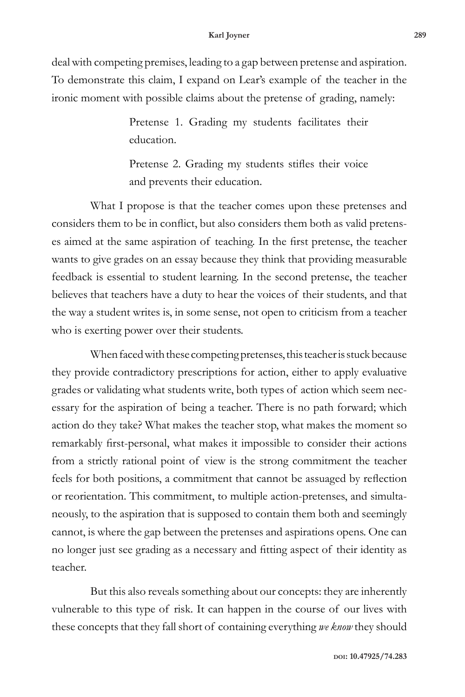#### **Karl Joyner 289**

deal with competing premises, leading to a gap between pretense and aspiration. To demonstrate this claim, I expand on Lear's example of the teacher in the ironic moment with possible claims about the pretense of grading, namely:

> Pretense 1. Grading my students facilitates their education.

> Pretense 2. Grading my students stifles their voice and prevents their education.

What I propose is that the teacher comes upon these pretenses and considers them to be in conflict, but also considers them both as valid pretenses aimed at the same aspiration of teaching. In the first pretense, the teacher wants to give grades on an essay because they think that providing measurable feedback is essential to student learning. In the second pretense, the teacher believes that teachers have a duty to hear the voices of their students, and that the way a student writes is, in some sense, not open to criticism from a teacher who is exerting power over their students.

When faced with these competing pretenses, this teacher is stuck because they provide contradictory prescriptions for action, either to apply evaluative grades or validating what students write, both types of action which seem necessary for the aspiration of being a teacher. There is no path forward; which action do they take? What makes the teacher stop, what makes the moment so remarkably first-personal, what makes it impossible to consider their actions from a strictly rational point of view is the strong commitment the teacher feels for both positions, a commitment that cannot be assuaged by reflection or reorientation. This commitment, to multiple action-pretenses, and simultaneously, to the aspiration that is supposed to contain them both and seemingly cannot, is where the gap between the pretenses and aspirations opens. One can no longer just see grading as a necessary and fitting aspect of their identity as teacher.

But this also reveals something about our concepts: they are inherently vulnerable to this type of risk. It can happen in the course of our lives with these concepts that they fall short of containing everything *we know* they should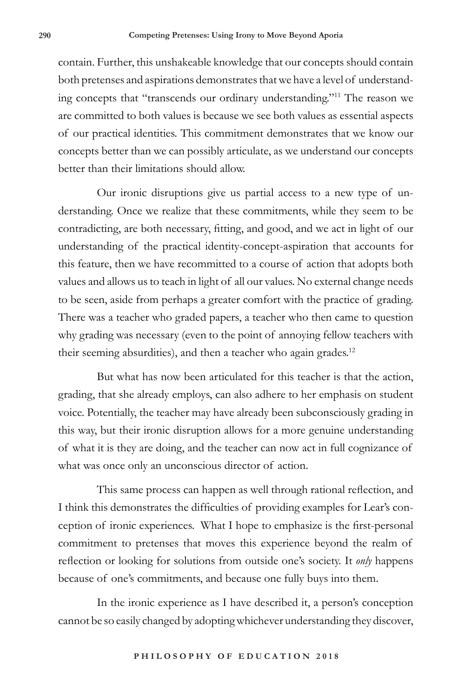contain. Further, this unshakeable knowledge that our concepts should contain both pretenses and aspirations demonstrates that we have a level of understanding concepts that "transcends our ordinary understanding."11 The reason we are committed to both values is because we see both values as essential aspects of our practical identities. This commitment demonstrates that we know our concepts better than we can possibly articulate, as we understand our concepts better than their limitations should allow.

Our ironic disruptions give us partial access to a new type of understanding. Once we realize that these commitments, while they seem to be contradicting, are both necessary, fitting, and good, and we act in light of our understanding of the practical identity-concept-aspiration that accounts for this feature, then we have recommitted to a course of action that adopts both values and allows us to teach in light of all our values. No external change needs to be seen, aside from perhaps a greater comfort with the practice of grading. There was a teacher who graded papers, a teacher who then came to question why grading was necessary (even to the point of annoying fellow teachers with their seeming absurdities), and then a teacher who again grades.<sup>12</sup>

But what has now been articulated for this teacher is that the action, grading, that she already employs, can also adhere to her emphasis on student voice. Potentially, the teacher may have already been subconsciously grading in this way, but their ironic disruption allows for a more genuine understanding of what it is they are doing, and the teacher can now act in full cognizance of what was once only an unconscious director of action.

This same process can happen as well through rational reflection, and I think this demonstrates the difficulties of providing examples for Lear's conception of ironic experiences. What I hope to emphasize is the first-personal commitment to pretenses that moves this experience beyond the realm of reflection or looking for solutions from outside one's society. It *only* happens because of one's commitments, and because one fully buys into them.

In the ironic experience as I have described it, a person's conception cannot be so easily changed by adopting whichever understanding they discover,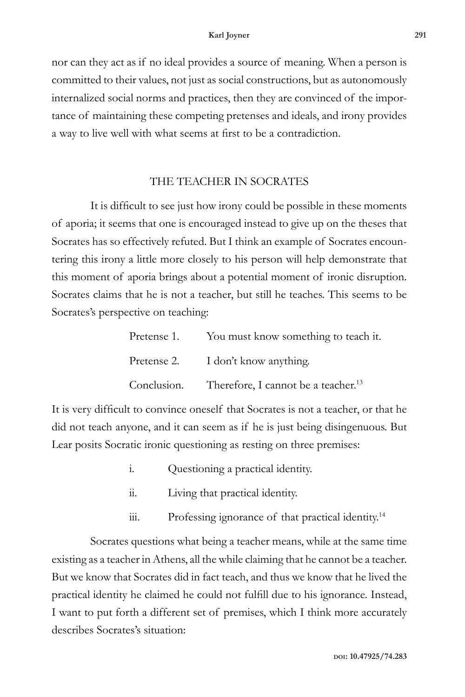nor can they act as if no ideal provides a source of meaning. When a person is committed to their values, not just as social constructions, but as autonomously internalized social norms and practices, then they are convinced of the importance of maintaining these competing pretenses and ideals, and irony provides a way to live well with what seems at first to be a contradiction.

## THE TEACHER IN SOCRATES

It is difficult to see just how irony could be possible in these moments of aporia; it seems that one is encouraged instead to give up on the theses that Socrates has so effectively refuted. But I think an example of Socrates encountering this irony a little more closely to his person will help demonstrate that this moment of aporia brings about a potential moment of ironic disruption. Socrates claims that he is not a teacher, but still he teaches. This seems to be Socrates's perspective on teaching:

| Pretense 1. You must know something to teach it.            |
|-------------------------------------------------------------|
| Pretense 2. I don't know anything.                          |
| Conclusion. Therefore, I cannot be a teacher. <sup>13</sup> |

It is very difficult to convince oneself that Socrates is not a teacher, or that he did not teach anyone, and it can seem as if he is just being disingenuous. But Lear posits Socratic ironic questioning as resting on three premises:

- i. Questioning a practical identity.
- ii. Living that practical identity.
- iii. Professing ignorance of that practical identity.<sup>14</sup>

Socrates questions what being a teacher means, while at the same time existing as a teacher in Athens, all the while claiming that he cannot be a teacher. But we know that Socrates did in fact teach, and thus we know that he lived the practical identity he claimed he could not fulfill due to his ignorance. Instead, I want to put forth a different set of premises, which I think more accurately describes Socrates's situation: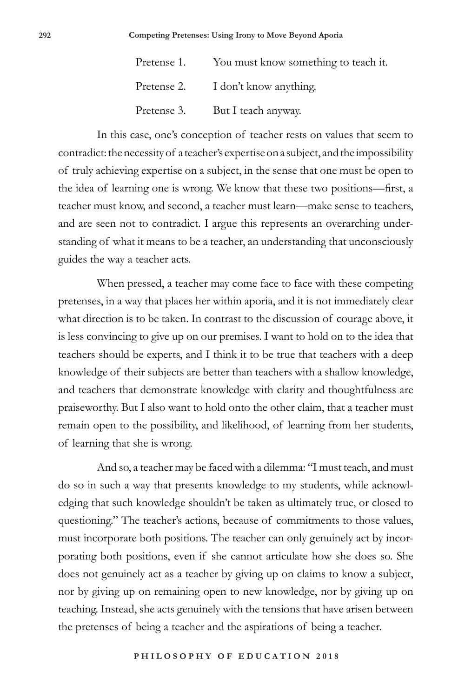| Pretense 1. You must know something to teach it. |
|--------------------------------------------------|
| Pretense 2. I don't know anything.               |
| Pretense 3. But I teach anyway.                  |

In this case, one's conception of teacher rests on values that seem to contradict: the necessity of a teacher's expertise on a subject, and the impossibility of truly achieving expertise on a subject, in the sense that one must be open to the idea of learning one is wrong. We know that these two positions—first, a teacher must know, and second, a teacher must learn—make sense to teachers, and are seen not to contradict. I argue this represents an overarching understanding of what it means to be a teacher, an understanding that unconsciously guides the way a teacher acts.

When pressed, a teacher may come face to face with these competing pretenses, in a way that places her within aporia, and it is not immediately clear what direction is to be taken. In contrast to the discussion of courage above, it is less convincing to give up on our premises. I want to hold on to the idea that teachers should be experts, and I think it to be true that teachers with a deep knowledge of their subjects are better than teachers with a shallow knowledge, and teachers that demonstrate knowledge with clarity and thoughtfulness are praiseworthy. But I also want to hold onto the other claim, that a teacher must remain open to the possibility, and likelihood, of learning from her students, of learning that she is wrong.

And so, a teacher may be faced with a dilemma: "I must teach, and must do so in such a way that presents knowledge to my students, while acknowledging that such knowledge shouldn't be taken as ultimately true, or closed to questioning." The teacher's actions, because of commitments to those values, must incorporate both positions. The teacher can only genuinely act by incorporating both positions, even if she cannot articulate how she does so. She does not genuinely act as a teacher by giving up on claims to know a subject, nor by giving up on remaining open to new knowledge, nor by giving up on teaching. Instead, she acts genuinely with the tensions that have arisen between the pretenses of being a teacher and the aspirations of being a teacher.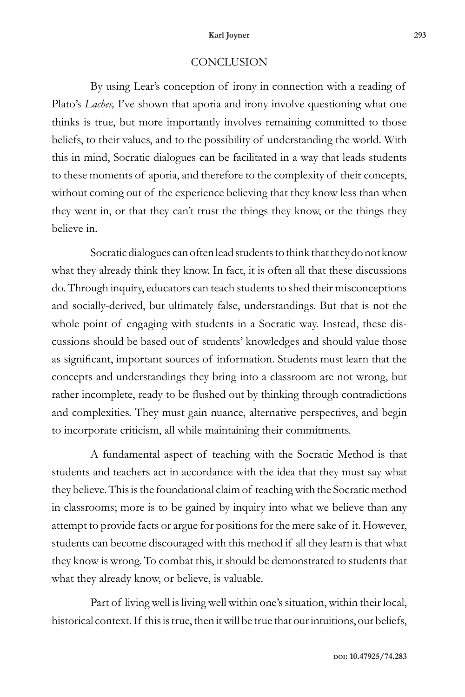#### **Karl Joyner 293**

#### **CONCLUSION**

By using Lear's conception of irony in connection with a reading of Plato's *Laches,* I've shown that aporia and irony involve questioning what one thinks is true, but more importantly involves remaining committed to those beliefs, to their values, and to the possibility of understanding the world. With this in mind, Socratic dialogues can be facilitated in a way that leads students to these moments of aporia, and therefore to the complexity of their concepts, without coming out of the experience believing that they know less than when they went in, or that they can't trust the things they know, or the things they believe in.

Socratic dialogues can often lead students to think that they do not know what they already think they know. In fact, it is often all that these discussions do. Through inquiry, educators can teach students to shed their misconceptions and socially-derived, but ultimately false, understandings. But that is not the whole point of engaging with students in a Socratic way. Instead, these discussions should be based out of students' knowledges and should value those as significant, important sources of information. Students must learn that the concepts and understandings they bring into a classroom are not wrong, but rather incomplete, ready to be flushed out by thinking through contradictions and complexities. They must gain nuance, alternative perspectives, and begin to incorporate criticism, all while maintaining their commitments.

A fundamental aspect of teaching with the Socratic Method is that students and teachers act in accordance with the idea that they must say what they believe. This is the foundational claim of teaching with the Socratic method in classrooms; more is to be gained by inquiry into what we believe than any attempt to provide facts or argue for positions for the mere sake of it. However, students can become discouraged with this method if all they learn is that what they know is wrong. To combat this, it should be demonstrated to students that what they already know, or believe, is valuable.

Part of living well is living well within one's situation, within their local, historical context. If this is true, then it will be true that our intuitions, our beliefs,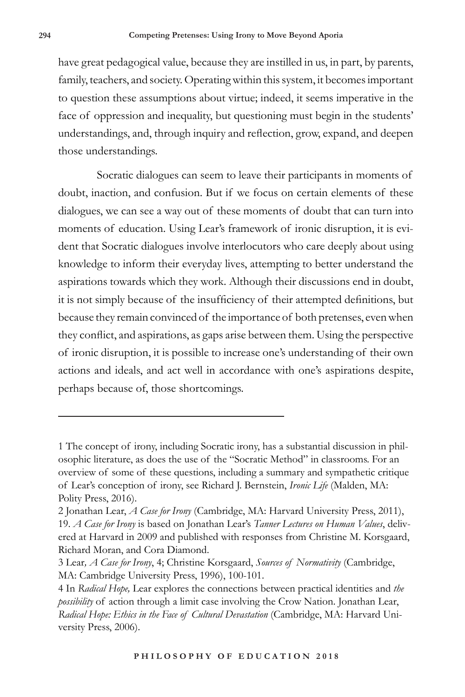have great pedagogical value, because they are instilled in us, in part, by parents, family, teachers, and society. Operating within this system, it becomes important to question these assumptions about virtue; indeed, it seems imperative in the face of oppression and inequality, but questioning must begin in the students' understandings, and, through inquiry and reflection, grow, expand, and deepen those understandings.

Socratic dialogues can seem to leave their participants in moments of doubt, inaction, and confusion. But if we focus on certain elements of these dialogues, we can see a way out of these moments of doubt that can turn into moments of education. Using Lear's framework of ironic disruption, it is evident that Socratic dialogues involve interlocutors who care deeply about using knowledge to inform their everyday lives, attempting to better understand the aspirations towards which they work. Although their discussions end in doubt, it is not simply because of the insufficiency of their attempted definitions, but because they remain convinced of the importance of both pretenses, even when they conflict, and aspirations, as gaps arise between them. Using the perspective of ironic disruption, it is possible to increase one's understanding of their own actions and ideals, and act well in accordance with one's aspirations despite, perhaps because of, those shortcomings.

<sup>1</sup> The concept of irony, including Socratic irony, has a substantial discussion in philosophic literature, as does the use of the "Socratic Method" in classrooms. For an overview of some of these questions, including a summary and sympathetic critique of Lear's conception of irony, see Richard J. Bernstein, *Ironic Life* (Malden, MA: Polity Press, 2016).

<sup>2</sup> Jonathan Lear, *A Case for Irony* (Cambridge, MA: Harvard University Press, 2011), 19. *A Case for Irony* is based on Jonathan Lear's *Tanner Lectures on Human Values*, delivered at Harvard in 2009 and published with responses from Christine M. Korsgaard, Richard Moran, and Cora Diamond.

<sup>3</sup> Lear*, A Case for Irony*, 4; Christine Korsgaard, *Sources of Normativity* (Cambridge, MA: Cambridge University Press, 1996), 100-101.

<sup>4</sup> In *Radical Hope,* Lear explores the connections between practical identities and *the possibility* of action through a limit case involving the Crow Nation. Jonathan Lear, *Radical Hope: Ethics in the Face of Cultural Devastation* (Cambridge, MA: Harvard University Press, 2006).